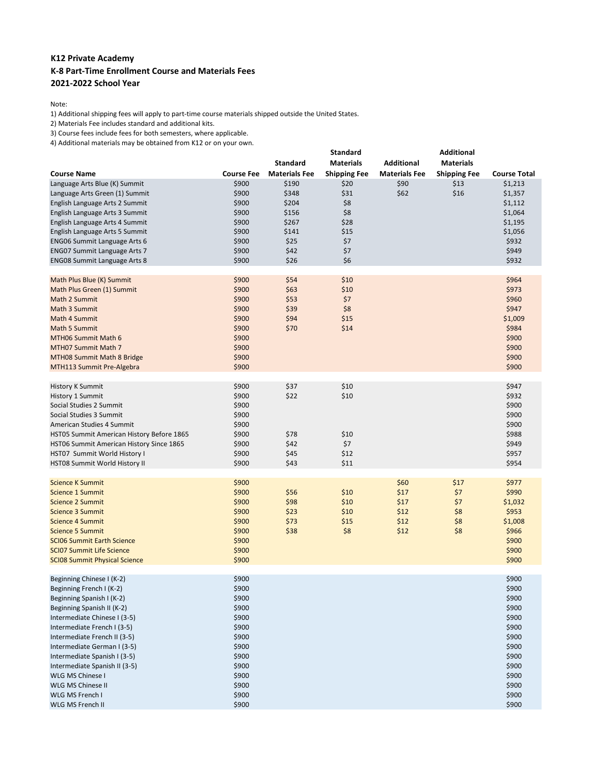## **K12 Private Academy K-8 Part-Time Enrollment Course and Materials Fees 2021-2022 School Year**

Note:

1) Additional shipping fees will apply to part-time course materials shipped outside the United States.

2) Materials Fee includes standard and additional kits.

3) Course fees include fees for both semesters, where applicable.

4) Additional materials may be obtained from K12 or on your own.

|                                           |                   | <b>Standard</b>      | Standard<br><b>Materials</b> | <b>Additional</b>    | <b>Additional</b><br><b>Materials</b> |                     |
|-------------------------------------------|-------------------|----------------------|------------------------------|----------------------|---------------------------------------|---------------------|
| <b>Course Name</b>                        | <b>Course Fee</b> | <b>Materials Fee</b> | <b>Shipping Fee</b>          | <b>Materials Fee</b> | <b>Shipping Fee</b>                   | <b>Course Total</b> |
| Language Arts Blue (K) Summit             | \$900             | \$190                | \$20                         | \$90                 | \$13                                  | \$1,213             |
| Language Arts Green (1) Summit            | \$900             | \$348                | \$31                         | \$62                 | \$16                                  | \$1,357             |
| English Language Arts 2 Summit            | \$900             | \$204                | \$8                          |                      |                                       | \$1,112             |
| English Language Arts 3 Summit            | \$900             | \$156                | \$8                          |                      |                                       | \$1,064             |
| English Language Arts 4 Summit            | \$900             | \$267                | \$28                         |                      |                                       | \$1,195             |
| English Language Arts 5 Summit            | \$900             | \$141                | \$15                         |                      |                                       | \$1,056             |
| <b>ENG06 Summit Language Arts 6</b>       | \$900             | \$25                 | \$7                          |                      |                                       | \$932               |
| <b>ENG07 Summit Language Arts 7</b>       | \$900             | \$42                 | \$7                          |                      |                                       | \$949               |
| <b>ENG08 Summit Language Arts 8</b>       | \$900             | \$26                 | \$6                          |                      |                                       | \$932               |
| Math Plus Blue (K) Summit                 | \$900             | \$54                 | \$10                         |                      |                                       | \$964               |
| Math Plus Green (1) Summit                | \$900             | \$63                 | \$10                         |                      |                                       | \$973               |
| Math 2 Summit                             | \$900             | \$53                 | \$7                          |                      |                                       | \$960               |
| Math 3 Summit                             | \$900             | \$39                 | \$8                          |                      |                                       | \$947               |
| Math 4 Summit                             | \$900             | \$94                 | \$15                         |                      |                                       | \$1,009             |
| Math 5 Summit                             | \$900             | \$70                 | \$14                         |                      |                                       | \$984               |
| MTH06 Summit Math 6                       | \$900             |                      |                              |                      |                                       | \$900               |
| MTH07 Summit Math 7                       | \$900             |                      |                              |                      |                                       | \$900               |
| MTH08 Summit Math 8 Bridge                | \$900             |                      |                              |                      |                                       | \$900               |
| MTH113 Summit Pre-Algebra                 | \$900             |                      |                              |                      |                                       | \$900               |
| <b>History K Summit</b>                   | \$900             | \$37                 | \$10                         |                      |                                       | \$947               |
| History 1 Summit                          | \$900             | \$22                 | \$10                         |                      |                                       | \$932               |
| Social Studies 2 Summit                   | \$900             |                      |                              |                      |                                       | \$900               |
| Social Studies 3 Summit                   | \$900             |                      |                              |                      |                                       | \$900               |
| American Studies 4 Summit                 | \$900             |                      |                              |                      |                                       | \$900               |
| HST05 Summit American History Before 1865 | \$900             | \$78                 | \$10                         |                      |                                       | \$988               |
| HST06 Summit American History Since 1865  | \$900             | \$42                 | \$7                          |                      |                                       | \$949               |
| HST07 Summit World History I              | \$900             | \$45                 | \$12                         |                      |                                       | \$957               |
| HST08 Summit World History II             | \$900             | \$43                 | \$11                         |                      |                                       | \$954               |
| <b>Science K Summit</b>                   | \$900             |                      |                              | \$60                 | \$17                                  | \$977               |
| Science 1 Summit                          | \$900             | \$56                 | \$10                         | \$17                 | \$7                                   | \$990               |
| <b>Science 2 Summit</b>                   | \$900             | \$98                 | \$10                         | \$17                 | \$7                                   | \$1,032             |
| Science 3 Summit                          | \$900             | \$23                 | \$10                         | \$12                 | \$8                                   | \$953               |
| <b>Science 4 Summit</b>                   | \$900             | \$73                 | \$15                         | \$12                 | \$8                                   | \$1,008             |
| <b>Science 5 Summit</b>                   | \$900             | \$38                 | \$8                          | \$12                 | \$8                                   | \$966               |
| <b>SCIO6 Summit Earth Science</b>         | \$900             |                      |                              |                      |                                       | \$900               |
| <b>SCI07 Summit Life Science</b>          | \$900             |                      |                              |                      |                                       | \$900               |
| <b>SCIO8 Summit Physical Science</b>      | \$900             |                      |                              |                      |                                       | \$900               |
| Beginning Chinese I (K-2)                 | \$900             |                      |                              |                      |                                       | \$900               |
| Beginning French I (K-2)                  | \$900             |                      |                              |                      |                                       | \$900               |
| Beginning Spanish I (K-2)                 | \$900             |                      |                              |                      |                                       | \$900               |
| Beginning Spanish II (K-2)                | \$900             |                      |                              |                      |                                       | \$900               |
| Intermediate Chinese I (3-5)              | \$900             |                      |                              |                      |                                       | \$900               |
| Intermediate French I (3-5)               | \$900             |                      |                              |                      |                                       | \$900               |
| Intermediate French II (3-5)              | \$900             |                      |                              |                      |                                       | \$900               |
| Intermediate German I (3-5)               | \$900             |                      |                              |                      |                                       | \$900               |
| Intermediate Spanish I (3-5)              | \$900             |                      |                              |                      |                                       | \$900               |
| Intermediate Spanish II (3-5)             | \$900             |                      |                              |                      |                                       | \$900               |
| <b>WLG MS Chinese I</b>                   | \$900             |                      |                              |                      |                                       | \$900               |
| WLG MS Chinese II                         | \$900             |                      |                              |                      |                                       | \$900               |
| WLG MS French I                           | \$900             |                      |                              |                      |                                       | \$900               |
| WLG MS French II                          | \$900             |                      |                              |                      |                                       | \$900               |
|                                           |                   |                      |                              |                      |                                       |                     |